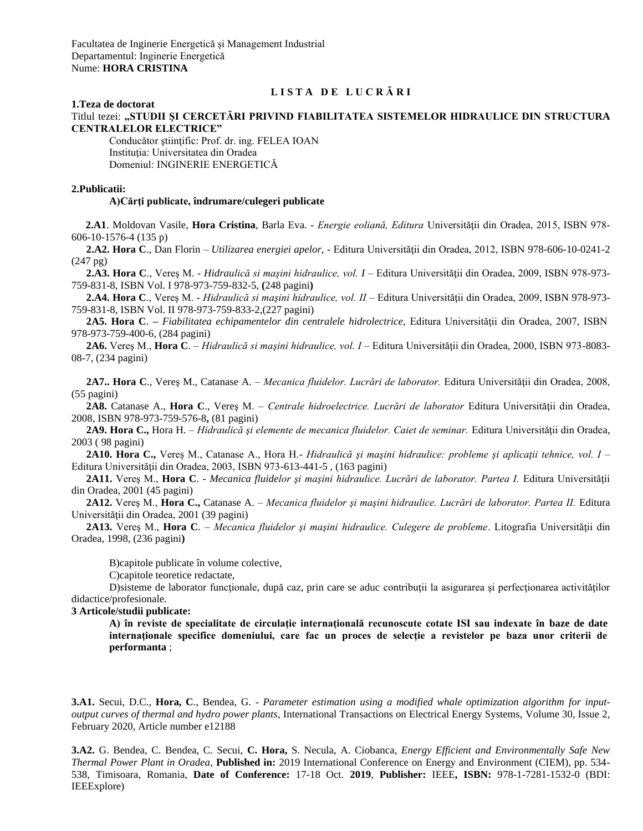# **L I S T A D E L U C R Ă R I**

#### **1.Teza de doctorat**

Titlul tezei: **"STUDII ŞI CERCETĂRI PRIVIND FIABILITATEA SISTEMELOR HIDRAULICE DIN STRUCTURA CENTRALELOR ELECTRICE"**

Conducător ştiinţific: Prof. dr. ing. FELEA IOAN Instituția: Universitatea din Oradea Domeniul: INGINERIE ENERGETICĂ

### **2.Publicatii:**

### **A)Cărţi publicate, îndrumare/culegeri publicate**

**2.A1**. Moldovan Vasile, **Hora Cristina**, Barla Eva*. - Energie eoliană, Editura* Universităţii din Oradea, 2015, ISBN 978- 606-10-1576-4 (135 p)

**2.A2. Hora C**., Dan Florin – *Utilizarea energiei apelor, -* Editura Universităţii din Oradea, 2012, ISBN 978-606-10-0241-2 (247 pg)

**2.A3. Hora C**., Vereş M. - *Hidraulică si maşini hidraulice, vol. I* – Editura Universităţii din Oradea, 2009, ISBN 978-973- 759-831-8, ISBN Vol. I 978-973-759-832-5, **(**248 pagini**)**

**2.A4. Hora C**., Vereş M. - *Hidraulică si maşini hidraulice, vol. II* – Editura Universităţii din Oradea, 2009, ISBN 978-973- 759-831-8, ISBN Vol. II 978-973-759-833-2,(227 pagini)

**2A5. Hora C**. **–** *Fiabilitatea echipamentelor din centralele hidrolectrice,* Editura Universităţii din Oradea, 2007, ISBN 978-973-759-400-6, (284 pagini)

**2A6.** Vereş M., **Hora C**. – *Hidraulică si maşini hidraulice, vol. I* – Editura Universităţii din Oradea, 2000, ISBN 973-8083- 08-7, (234 pagini)

**2A7.. Hora C**., Vereş M., Catanase A. – *Mecanica fluidelor. Lucrări de laborator.* Editura Universităţii din Oradea, 2008, (55 pagini)

**2A8.** Catanase A., **Hora C**., Vereş M. *– Centrale hidroelectrice. Lucrări de laborator* Editura Universităţii din Oradea, 2008, ISBN 978-973-759-576-8**,** (81 pagini)

2A9. Hora C., Hora H. – *Hidraulică și elemente de mecanica fluidelor. Caiet de seminar. Editura Universității din Oradea,* 2003 ( 98 pagini)

**2A10. Hora C.,** Vereş M., Catanase A., Hora H.- *Hidraulică şi maşini hidraulice: probleme şi aplicaţii tehnice, vol. I* – Editura Universităţii din Oradea, 2003, ISBN 973-613-441-5 , (163 pagini)

**2A11.** Vereş M., **Hora C**. - *Mecanica fluidelor şi maşini hidraulice. Lucrări de laborator. Partea I.* Editura Universităţii din Oradea, 2001 (45 pagini)

**2A12.** Vereş M., **Hora C.,** Catanase A. – *Mecanica fluidelor şi maşini hidraulice. Lucrări de laborator. Partea II.* Editura Universităţii din Oradea, 2001 (39 pagini)

**2A13.** Vereş M., **Hora C**. – *Mecanica fluidelor şi maşini hidraulice. Culegere de probleme*. Litografia Universităţii din Oradea, 1998, (236 pagini**)**

B)capitole publicate în volume colective,

C)capitole teoretice redactate,

D)sisteme de laborator functionale, după caz, prin care se aduc contribuții la asigurarea și perfectionarea activităților didactice/profesionale.

### **3 Articole/studii publicate:**

**A) în reviste de specialitate de circulaţie internaţională recunoscute cotate ISI sau indexate în baze de date internaţionale specifice domeniului, care fac un proces de selecţie a revistelor pe baza unor criterii de performanta** ;

**3.A1.** Secui, D.C., **Hora, C**., Bendea, G. - *Parameter estimation using a modified whale optimization algorithm for inputoutput curves of thermal and hydro power plants*, International Transactions on Electrical Energy Systems, Volume 30, Issue 2, February 2020, Article number e12188

**3.A2.** G. Bendea, C. Bendea, C. Secui, **C. Hora,** S. Necula, A. Ciobanca, *[Energy Efficient and Environmentally Safe New](https://ieeexplore.ieee.org/abstract/document/8937626/)  [Thermal Power Plant in Oradea](https://ieeexplore.ieee.org/abstract/document/8937626/)*, **Published in:** 2019 International Conference on Energy and Environment (CIEM), pp. 534- 538, Timisoara, Romania, **Date of Conference:** 17-18 Oct. **2019**, **Publisher:** IEEE**, ISBN:** 978-1-7281-1532-0 (BDI: IEEExplore)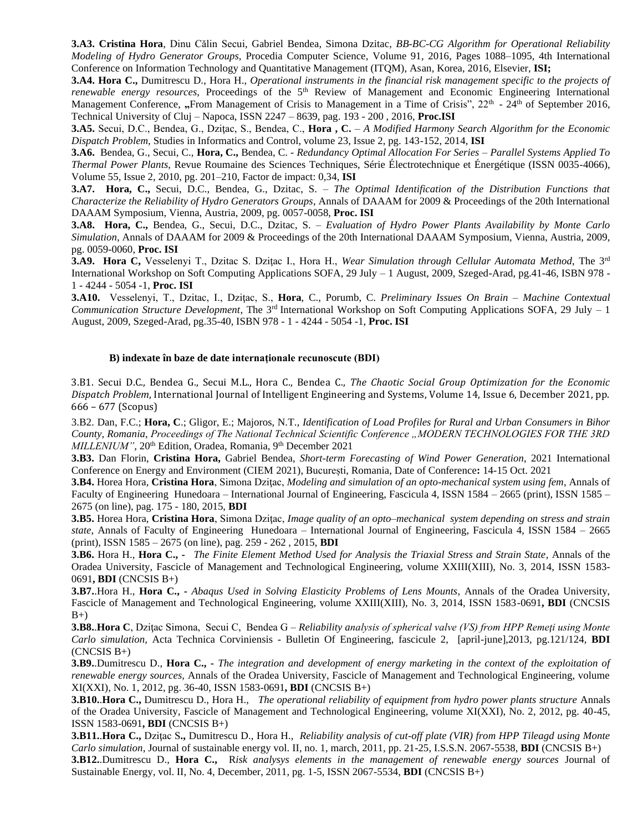**3.A3. [Cristina Hora](http://www.sciencedirect.com/science/article/pii/S1877050916313515)**, [Dinu Călin Secui, Gabriel Bendea, Simona Dzitac,](http://www.sciencedirect.com/science/article/pii/S1877050916313515) *BB-BC-CG Algorithm for Operational Reliability Modeling of Hydro Generator Groups,* [Procedia Computer Science,](http://www.sciencedirect.com/science/journal/18770509) [Volume 91,](http://www.sciencedirect.com/science/journal/18770509/91/supp/C) 2016, Pages 1088–1095, 4th International Conference on Information Technology and Quantitative Management (ITQM), Asan, Korea, 2016, Elsevier, **ISI;**

**3.A4. Hora C.,** Dumitrescu D., Hora H., *Operational instruments in the financial risk management specific to the projects of*  renewable energy resources, Proceedings of the 5<sup>th</sup> Review of Management and Economic Engineering International Management Conference, "From Management of Crisis to Management in a Time of Crisis", 22<sup>th</sup> - 24<sup>th</sup> of September 2016, Technical University of Cluj – Napoca, ISSN 2247 – 8639, pag. 193 - 200 , 2016, **Proc.ISI**

**3.A5.** Secui, D.C., Bendea, G., Dziţac, S., Bendea, C., **Hora , C.** – *A Modified Harmony Search Algorithm for the Economic Dispatch Problem,* Studies in Informatics and Control, volume 23, Issue 2, pg. 143-152, 2014, **ISI**

**3.A6.** Bendea, G., Secui, C., **Hora, C.,** Bendea, C. - *Redundancy Optimal Allocation For Series – Parallel Systems Applied To Thermal Power Plants*, Revue Roumaine des Sciences Techniques, Série Électrotechnique et Énergétique (ISSN 0035-4066), Volume 55, Issue 2, 2010, pg. 201–210, Factor de impact: 0,34, **ISI**

**3.A7. Hora, C.,** Secui, D.C., Bendea, G., Dzitac, S. – *The Optimal Identification of the Distribution Functions that Characterize the Reliability of Hydro Generators Groups*, Annals of DAAAM for 2009 & Proceedings of the 20th International DAAAM Symposium, Vienna, Austria, 2009, pg. 0057-0058, **Proc. ISI**

**3.A8. Hora, C.,** Bendea, G., Secui, D.C., Dzitac, S. – *Evaluation of Hydro Power Plants Availability by Monte Carlo Simulation*, Annals of DAAAM for 2009 & Proceedings of the 20th International DAAAM Symposium, Vienna, Austria, 2009, pg. 0059-0060, **Proc. ISI**

**3.A9. Hora C,** Vesselenyi T., Dzitac S. Dziţac I., Hora H., *Wear Simulation through Cellular Automata Method*, The 3rd International Workshop on Soft Computing Applications SOFA, 29 July – 1 August, 2009, Szeged-Arad, pg.41-46, ISBN 978 - 1 - 4244 - 5054 -1, **Proc. ISI** 

**3.A10.** Vesselenyi, T., Dzitac, I., Dziţac, S., **Hora**, C., Porumb, C. *Preliminary Issues On Brain – Machine Contextual Communication Structure Development*, The 3rd International Workshop on Soft Computing Applications SOFA, 29 July – 1 August, 2009, Szeged-Arad, pg.35-40, ISBN 978 - 1 - 4244 - 5054 -1, **Proc. ISI**

### **B) indexate în baze de date internaţionale recunoscute (BDI)**

3.B1. Secui D.C., Bendea G., Secui M.L., Hora C., Bendea C., *The Chaotic Social Group Optimization for the Economic Dispatch Problem*, International Journal of Intelligent Engineering and Systems, Volume 14, Issue 6, December 2021, pp. 666 – 677 (Scopus)

3.B2. Dan, F.C.; **Hora, C**.; Gligor, E.; Majoros, N.T., *Identification of Load Profiles for Rural and Urban Consumers in Bihor County, Romania*, *Proceedings of The National Technical Scientific Conference "MODERN TECHNOLOGIES FOR THE 3RD MILLENIUM"*, 20<sup>th</sup> Edition, Oradea, Romania, 9<sup>th</sup> December 2021

**3.B3.** Dan Florin, **Cristina Hora,** Gabriel Bendea, *[Short-](https://ieeexplore.ieee.org/abstract/document/8937626/)term Forecasting of Wind Power Generation*, 2021 International Conference on Energy and Environment (CIEM 2021), București, Romania, Date of Conference**:** 14-15 Oct. 2021

**3.B4.** Horea Hora, Cristina Hora, Simona Dzitac, *Modeling and simulation of an opto-mechanical system using fem.* Annals of Faculty of Engineering Hunedoara – International Journal of Engineering, Fascicula 4, ISSN 1584 – 2665 (print), ISSN 1585 – 2675 (on line), pag. 175 - 180, 2015, **BDI**

**3.B5.** Horea Hora, **Cristina Hora**, Simona Dziţac, *Image quality of an opto–mechanical system depending on stress and strain state*, Annals of Faculty of Engineering Hunedoara – International Journal of Engineering, Fascicula 4, ISSN 1584 – 2665 (print), ISSN 1585 – 2675 (on line), pag. 259 - 262 , 2015, **BDI**

**3.B6.** Hora H., **Hora C., -** *The Finite Element Method Used for Analysis the Triaxial Stress and Strain State,* Annals of the Oradea University, Fascicle of Management and Technological Engineering, volume XXIII(XIII), No. 3, 2014, ISSN 1583- 0691**, BDI** (CNCSIS B+)

**3.B7.**.Hora H., **Hora C., -** *Abaqus Used in Solving Elasticity Problems of Lens Mounts,* Annals of the Oradea University, Fascicle of Management and Technological Engineering, volume XXIII(XIII), No. 3, 2014, ISSN 1583-0691**, BDI** (CNCSIS  $B+$ )

**3.B8.**.**Hora C**, Dziţac Simona, Secui C, Bendea G – *Reliability analysis of spherical valve (VS) from HPP Remeţi using Monte Carlo simulation,* Acta Technica Corviniensis - Bulletin Of Engineering, fascicule 2, [april-june],2013, pg.121/124, **BDI**  $(CNCSIS B+)$ 

**3.B9.**.Dumitrescu D., **Hora C., -** *The integration and development of energy marketing in the context of the exploitation of renewable energy sources,* Annals of the Oradea University, Fascicle of Management and Technological Engineering, volume XI(XXI), No. 1, 2012, pg. 36-40, ISSN 1583-0691**, BDI** (CNCSIS B+)

**3.B10.**.**Hora C.,** Dumitrescu D., Hora H., *The operational reliability of equipment from hydro power plants structure* Annals of the Oradea University, Fascicle of Management and Technological Engineering, volume XI(XXI), No. 2, 2012, pg. 40-45, ISSN 1583-0691**, BDI** (CNCSIS B+)

**3.B11.**.**Hora C.,** Dziţac S**.,** Dumitrescu D., Hora H., *Reliability analysis of cut-off plate (VIR) from HPP Tileagd using Monte Carlo simulation*, Journal of sustainable energy vol. II, no. 1, march, 2011, pp. 21-25, I.S.S.N. 2067-5538, **BDI** (CNCSIS B+)

**3.B12.**.Dumitrescu D., **Hora C.,** R*isk analysys elements in the management of renewable energy sources* Journal of Sustainable Energy*,* vol. II, No. 4, December, 2011, pg. 1-5, ISSN 2067-5534*,* **BDI** (CNCSIS B+)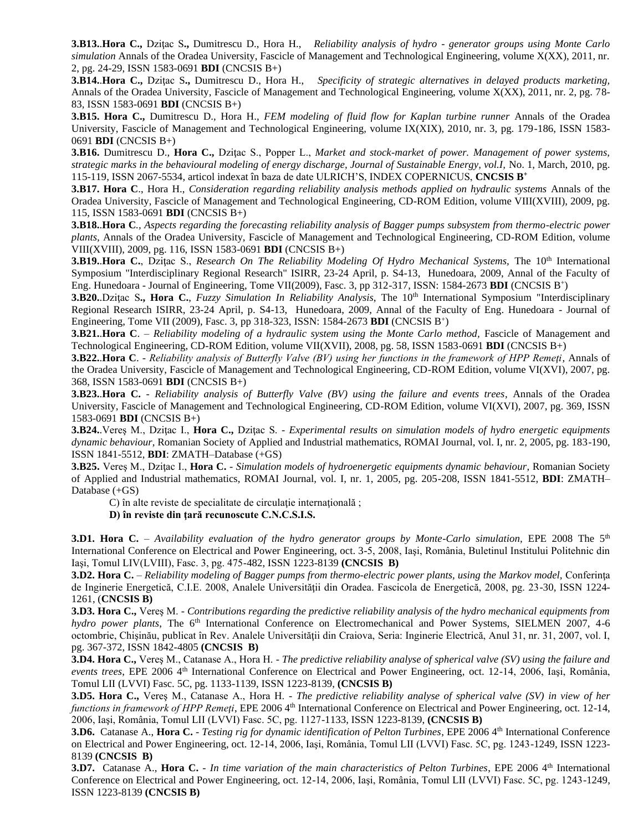**3.B13..Hora C.,** Dzitac S., Dumitrescu D., Hora H., *Reliability analysis of hydro - generator groups using Monte Carlo simulation* Annals of the Oradea University, Fascicle of Management and Technological Engineering, volume X(XX), 2011, nr. 2, pg. 24-29, ISSN 1583-0691 **BDI** (CNCSIS B+)

**3.B14.**.**Hora C.,** Dziţac S**.,** Dumitrescu D., Hora H., *Specificity of strategic alternatives in delayed products marketing,*  Annals of the Oradea University, Fascicle of Management and Technological Engineering, volume X(XX), 2011, nr. 2, pg. 78- 83, ISSN 1583-0691 **BDI** (CNCSIS B+)

**3.B15. Hora C.,** Dumitrescu D., Hora H., *FEM modeling of fluid flow for Kaplan turbine runner* Annals of the Oradea University, Fascicle of Management and Technological Engineering, volume IX(XIX), 2010, nr. 3, pg. 179-186, ISSN 1583- 0691 **BDI** (CNCSIS B+)

**3.B16.** Dumitrescu D., **Hora C.,** Dzitac S., Popper L., *Market and stock-market of power. Management of power systems, strategic marks in the behavioural modeling of energy discharge, Journal of Sustainable Energy, vol.I,* No. 1, March, 2010, pg. 115-119, ISSN 2067-5534*,* articol indexat în baza de date ULRICH'S, INDEX COPERNICUS, **CNCSIS B<sup>+</sup>**

**3.B17. Hora C**., Hora H., *Consideration regarding reliability analysis methods applied on hydraulic systems* Annals of the Oradea University, Fascicle of Management and Technological Engineering, CD-ROM Edition, volume VIII(XVIII), 2009, pg. 115, ISSN 1583-0691 **BDI** (CNCSIS B+)

**3.B18.**.**Hora C***., Aspects regarding the forecasting reliability analysis of Bagger pumps subsystem from thermo-electric power plants,* Annals of the Oradea University, Fascicle of Management and Technological Engineering, CD-ROM Edition, volume VIII(XVIII), 2009, pg. 116, ISSN 1583-0691 **BDI** (CNCSIS B+)

3.B19..Hora C., Dzițac S., Research On The Reliability Modeling Of Hydro Mechanical Systems, The 10<sup>th</sup> International Symposium "Interdisciplinary Regional Research" ISIRR, 23-24 April, p. S4-13, Hunedoara, 2009, Annal of the Faculty of Eng. Hunedoara - Journal of Engineering, Tome VII(2009), Fasc. 3, pp 312-317, ISSN: 1584-2673 BDI (CNCSIS B<sup>+</sup>)

3.B20. Dzițac S., Hora C., *Fuzzy Simulation In Reliability Analysis*, The 10<sup>th</sup> International Symposium "Interdisciplinary Regional Research ISIRR, 23-24 April, p. S4-13, Hunedoara, 2009, Annal of the Faculty of Eng. Hunedoara - Journal of Engineering, Tome VII (2009), Fasc. 3, pp 318-323, ISSN: 1584-2673 **BDI** (CNCSIS B<sup>+</sup> )

**3.B21..Hora C**. – *Reliability modeling of a hydraulic system using the Monte Carlo method, Fascicle of Management and* Technological Engineering, CD-ROM Edition, volume VII(XVII), 2008, pg. 58, ISSN 1583-0691 **BDI** (CNCSIS B+)

**3.B22.**.**Hora C**. - *Reliability analysis of Butterfly Valve (BV) using her functions in the framework of HPP Remeţi*, Annals of the Oradea University, Fascicle of Management and Technological Engineering, CD-ROM Edition, volume VI(XVI), 2007, pg. 368, ISSN 1583-0691 **BDI** (CNCSIS B+)

**3.B23.**.**Hora C.** - *Reliability analysis of Butterfly Valve (BV) using the failure and events trees*, Annals of the Oradea University, Fascicle of Management and Technological Engineering, CD-ROM Edition, volume VI(XVI), 2007, pg. 369, ISSN 1583-0691 **BDI** (CNCSIS B+)

**3.B24.**.Vereş M., Dziţac I., **Hora C.,** Dziţac S. - *Experimental results on simulation models of hydro energetic equipments dynamic behaviour*, Romanian Society of Applied and Industrial mathematics, ROMAI Journal, vol. I, nr. 2, 2005, pg. 183-190, ISSN 1841-5512, **BDI**: ZMATH–Database (+GS)

**3.B25.** Vereş M., Dziţac I., **Hora C.** - *Simulation models of hydroenergetic equipments dynamic behaviour*, Romanian Society of Applied and Industrial mathematics, ROMAI Journal, vol. I, nr. 1, 2005, pg. 205-208, ISSN 1841-5512, **BDI**: ZMATH– Database (+GS)

C) în alte reviste de specialitate de circulație internațională ;

**D) în reviste din ţară recunoscute C.N.C.S.I.S.**

**3.D1. Hora C.** – *Availability evaluation of the hydro generator groups by Monte-Carlo simulation,* EPE 2008 The  $5<sup>th</sup>$ International Conference on Electrical and Power Engineering, oct. 3-5, 2008, Iaşi, România, Buletinul Institului Politehnic din Iaşi, Tomul LIV(LVIII), Fasc. 3, pg. 475-482, ISSN 1223-8139 **(CNCSIS B)**

**3.D2. Hora C.** – *Reliability modeling of Bagger pumps from thermo-electric power plants, using the Markov model,* Conferinţa de Inginerie Energetică, C.I.E. 2008, Analele Universității din Oradea. Fascicola de Energetică, 2008, pg. 23-30, ISSN 1224-1261, (**CNCSIS B)**

**3.D3. Hora C.,** Vereş M. - *Contributions regarding the predictive reliability analysis of the hydro mechanical equipments from hydro power plants*, The 6<sup>th</sup> International Conference on Electromechanical and Power Systems, SIELMEN 2007, 4-6 octombrie, Chişinău, publicat în Rev. Analele Universităţii din Craiova, Seria: Inginerie Electrică, Anul 31, nr. 31, 2007, vol. I, pg. 367-372, ISSN 1842-4805 **(CNCSIS B)**

**3.D4. Hora C.,** Vereş M., Catanase A., Hora H. - *The predictive reliability analyse of spherical valve (SV) using the failure and events trees*, EPE 2006 4th International Conference on Electrical and Power Engineering, oct. 12-14, 2006, Iaşi, România, Tomul LII (LVVI) Fasc. 5C, pg. 1133-1139, ISSN 1223-8139, **(CNCSIS B)**

**3.D5. Hora C.,** Vereş M., Catanase A., Hora H. - *The predictive reliability analyse of spherical valve (SV) in view of her functions in framework of HPP Remeți*, EPE 2006 4<sup>th</sup> International Conference on Electrical and Power Engineering, oct. 12-14, 2006, Iaşi, România, Tomul LII (LVVI) Fasc. 5C, pg. 1127-1133, ISSN 1223-8139, **(CNCSIS B)**

**3.D6.** Catanase A., **Hora C.** - *Testing rig for dynamic identification of Pelton Turbines*, EPE 2006 4<sup>th</sup> International Conference on Electrical and Power Engineering, oct. 12-14, 2006, Iaşi, România, Tomul LII (LVVI) Fasc. 5C, pg. 1243-1249, ISSN 1223- 8139 **(CNCSIS B)**

**3.D7.** Catanase A., **Hora C.** - *In time variation of the main characteristics of Pelton Turbines*, EPE 2006 4<sup>th</sup> International Conference on Electrical and Power Engineering, oct. 12-14, 2006, Iaşi, România, Tomul LII (LVVI) Fasc. 5C, pg. 1243-1249, ISSN 1223-8139 **(CNCSIS B)**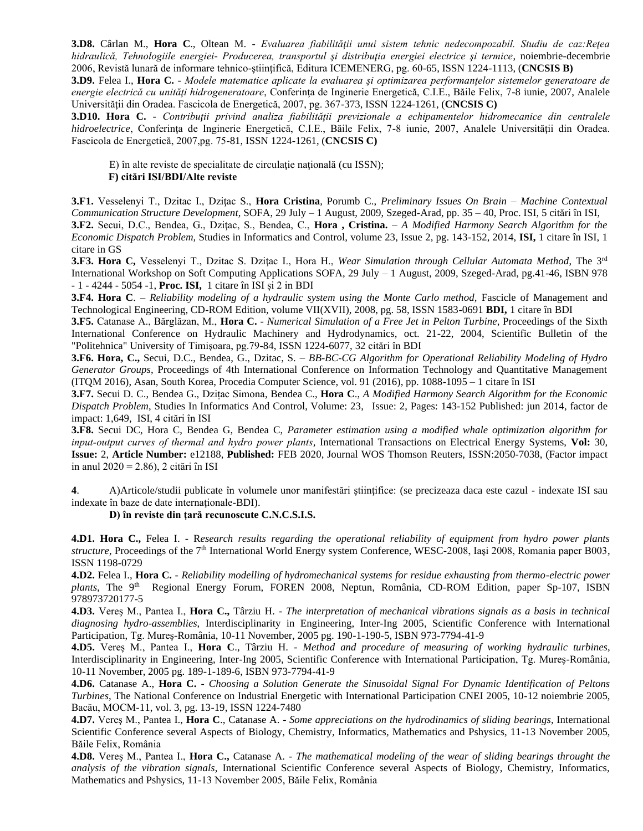**3.D8.** Cârlan M., **Hora C**., Oltean M. - *Evaluarea fiabilităţii unui sistem tehnic nedecompozabil. Studiu de caz:Reţea hidraulică, Tehnologiile energiei- Producerea, transportul şi distribuţia energiei electrice şi termice*, noiembrie-decembrie 2006, Revistă lunară de informare tehnico-ştiinţifică, Editura ICEMENERG, pg. 60-65, ISSN 1224-1113, (**CNCSIS B)**

**3.D9.** Felea I., **Hora C.** - *Modele matematice aplicate la evaluarea si optimizarea performantelor sistemelor generatoare de energie electrică cu unităţi hidrogeneratoare*, Conferinţa de Inginerie Energetică, C.I.E., Băile Felix, 7-8 iunie, 2007, Analele Universităţii din Oradea. Fascicola de Energetică, 2007, pg. 367-373, ISSN 1224-1261, (**CNCSIS C)**

**3.D10. Hora C.** - *Contribuţii privind analiza fiabilităţii previzionale a echipamentelor hidromecanice din centralele hidroelectrice*, Conferința de Inginerie Energetică, C.I.E., Băile Felix, 7-8 iunie, 2007, Analele Universității din Oradea. Fascicola de Energetică, 2007,pg. 75-81, ISSN 1224-1261, (**CNCSIS C)**

E) în alte reviste de specialitate de circulație națională (cu ISSN); **F) citări ISI/BDI/Alte reviste**

**3.F1.** Vesselenyi T., Dzitac I., Dziţac S., **Hora Cristina**, Porumb C., *Preliminary Issues On Brain – Machine Contextual Communication Structure Development*, SOFA, 29 July – 1 August, 2009, Szeged-Arad, pp. 35 – 40, Proc. ISI, 5 citări în ISI, **3.F2.** Secui, D.C., Bendea, G., Dziţac, S., Bendea, C., **Hora , Cristina.** – *A Modified Harmony Search Algorithm for the Economic Dispatch Problem,* Studies in Informatics and Control, volume 23, Issue 2, pg. 143-152, 2014, **ISI,** 1 citare în ISI, 1

citare in GS **3.F3. Hora C,** Vesselenyi T., Dzitac S. Dziţac I., Hora H., *Wear Simulation through Cellular Automata Method*, The 3rd International Workshop on Soft Computing Applications SOFA, 29 July – 1 August, 2009, Szeged-Arad, pg.41-46, ISBN 978 - 1 - 4244 - 5054 -1, **Proc. ISI,** 1 citare în ISI și 2 in BDI

**3.F4. Hora C**. – *Reliability modeling of a hydraulic system using the Monte Carlo method,* Fascicle of Management and Technological Engineering, CD-ROM Edition, volume VII(XVII), 2008, pg. 58, ISSN 1583-0691 **[BDI,](http://www.energy-cie.ro/content/view/19/43/)** 1 citare în BDI

**3.F5.** Catanase A., Bărglăzan, M., **Hora C.** - *Numerical Simulation of a Free Jet in Pelton Turbine*, Proceedings of the Sixth International Conference on Hydraulic Machinery and Hydrodynamics, oct. 21-22, 2004, Scientific Bulletin of the "Politehnica" University of Timişoara, pg.79-84, ISSN 1224-6077, 32 citări în BDI

**3.F6. Hora, C.,** Secui, D.C., Bendea, G., Dzitac, S. – *BB-BC-CG Algorithm for Operational Reliability Modeling of Hydro Generator Groups*, Proceedings of 4th International Conference on Information Technology and Quantitative Management (ITQM 2016), Asan, South Korea, Procedia Computer Science, vol. 91 (2016), pp. 1088-1095 – 1 citare în ISI

**3.F7.** Secui D. C., Bendea G., Dzițac Simona, Bendea C., **Hora C**., *A Modified Harmony Search Algorithm for the Economic Dispatch Problem*, Studies In Informatics And Control, Volume: 23, Issue: 2, Pages: 143-152 Published: jun 2014, factor de impact: 1,649, ISI, 4 citări în ISI

**3.F8.** Secui DC, Hora C, Bendea G, Bendea C, *Parameter estimation using a modified whale optimization algorithm for input‐output curves of thermal and hydro power plants,* International Transactions on Electrical Energy Systems, **Vol:** 30, **Issue:** 2, **Article Number:** e12188, **Published:** FEB 2020, Journal WOS Thomson Reuters, ISSN:2050-7038, (Factor impact in anul 2020 = 2.86), 2 citări în ISI

**4**. A)Articole/studii publicate în volumele unor manifestări ştiinţifice: (se precizeaza daca este cazul - indexate ISI sau indexate în baze de date internaţionale-BDI).

**D) în reviste din ţară recunoscute C.N.C.S.I.S.**

**4.D1. Hora C.,** Felea I. - R*esearch results regarding the operational reliability of equipment from hydro power plants structure,* Proceedings of the 7th International World Energy system Conference, WESC-2008, Iaşi 2008, Romania paper B003, ISSN 1198-0729

**4.D2.** Felea I., **Hora C.** - *Reliability modelling of hydromechanical systems for residue exhausting from thermo-electric power*  plants, The 9<sup>th</sup> Regional Energy Forum, FOREN 2008, Neptun, România, CD-ROM Edition, paper Sp-107, ISBN 978973720177-5

**4.D3.** Vereş M., Pantea I., **Hora C.,** Târziu H. - *The interpretation of mechanical vibrations signals as a basis in technical diagnosing hydro-assemblies*, Interdisciplinarity in Engineering, Inter-Ing 2005, Scientific Conference with International Participation, Tg. Mureş-România, 10-11 November, 2005 pg. 190-1-190-5, ISBN 973-7794-41-9

**4.D5.** Vereş M., Pantea I., **Hora C**., Târziu H. - *Method and procedure of measuring of working hydraulic turbines*, Interdisciplinarity in Engineering, Inter-Ing 2005, Scientific Conference with International Participation, Tg. Mureş-România, 10-11 November, 2005 pg. 189-1-189-6, ISBN 973-7794-41-9

**4.D6.** Catanase A., **Hora C.** - *Choosing a Solution Generate the Sinusoidal Signal For Dynamic Identification of Peltons Turbines*, The National Conference on Industrial Energetic with International Participation CNEI 2005, 10-12 noiembrie 2005, Bacău, MOCM-11, vol. 3, pg. 13-19, ISSN 1224-7480

**4.D7.** Vereş M., Pantea I., **Hora C**., Catanase A. - *Some appreciations on the hydrodinamics of sliding bearings*, International Scientific Conference several Aspects of Biology, Chemistry, Informatics, Mathematics and Pshysics, 11-13 November 2005, Băile Felix, România

**4.D8.** Vereş M., Pantea I., **Hora C.,** Catanase A. - *The mathematical modeling of the wear of sliding bearings throught the analysis of the vibration signals*, International Scientific Conference several Aspects of Biology, Chemistry, Informatics, Mathematics and Pshysics, 11-13 November 2005, Băile Felix, România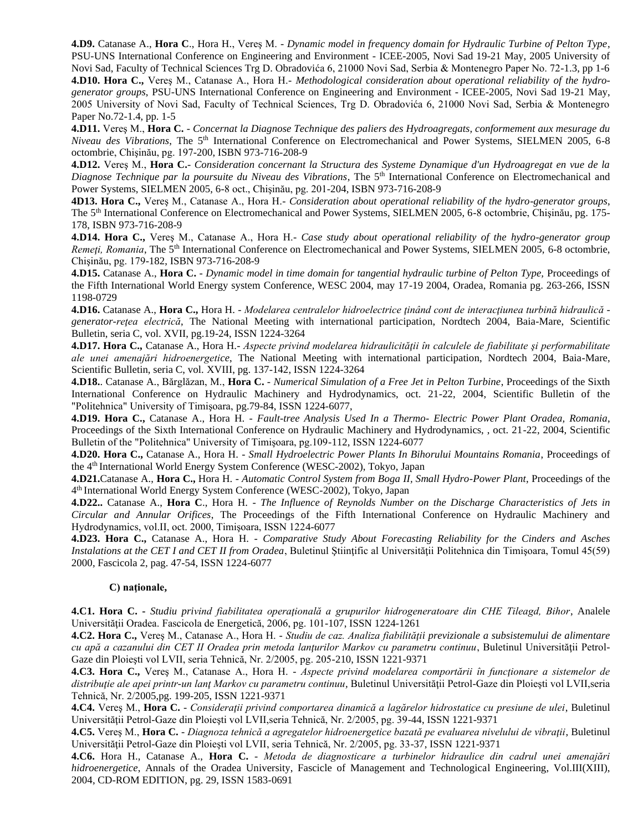**4.D9.** Catanase A., **Hora C**., Hora H., Vereş M. - *Dynamic model in frequency domain for Hydraulic Turbine of Pelton Type*, PSU-UNS International Conference on Engineering and Environment - ICEE-2005, Novi Sad 19-21 May, 2005 University of Novi Sad, Faculty of Technical Sciences Trg D. Obradovića 6, 21000 Novi Sad, Serbia & Montenegro Paper No. 72-1.3, pp 1-6 **4.D10. Hora C.,** Vereş M., Catanase A., Hora H.- *Methodological consideration about operational reliability of the hydrogenerator groups*, PSU-UNS International Conference on Engineering and Environment - ICEE-2005, Novi Sad 19-21 May, 2005 University of Novi Sad, Faculty of Technical Sciences, Trg D. Obradovića 6, 21000 Novi Sad, Serbia & Montenegro Paper No.72-1.4, pp. 1-5

**4.D11.** Vereş M., **Hora C.** - *Concernat la Diagnose Technique des paliers des Hydroagregats, conformement aux mesurage du Niveau des Vibrations*, The 5th International Conference on Electromechanical and Power Systems, SIELMEN 2005, 6-8 octombrie, Chişinău, pg. 197-200, ISBN 973-716-208-9

**4.D12.** Vereş M., **Hora C.**- *Consideration concernant la Structura des Systeme Dynamique d'un Hydroagregat en vue de la Diagnose Technique par la poursuite du Niveau des Vibrations*, The 5<sup>th</sup> International Conference on Electromechanical and Power Systems, SIELMEN 2005, 6-8 oct., Chişinău, pg. 201-204, ISBN 973-716-208-9

**4D13. Hora C.,** Vereş M., Catanase A., Hora H.- *Consideration about operational reliability of the hydro-generator groups*, The 5th International Conference on Electromechanical and Power Systems, SIELMEN 2005, 6-8 octombrie, Chişinău, pg. 175- 178, ISBN 973-716-208-9

**4.D14. Hora C.,** Vereş M., Catanase A., Hora H.- *Case study about operational reliability of the hydro-generator group Remeți, Romania*, The 5<sup>th</sup> International Conference on Electromechanical and Power Systems, SIELMEN 2005, 6-8 octombrie, Chişinău, pg. 179-182, ISBN 973-716-208-9

**4.D15.** Catanase A., **Hora C.** *- Dynamic model in time domain for tangential hydraulic turbine of Pelton Type,* Proceedings of the Fifth International World Energy system Conference, WESC 2004, may 17-19 2004, Oradea, Romania pg. 263-266, ISSN 1198-0729

**4.D16.** Catanase A., **Hora C.,** Hora H. - *Modelarea centralelor hidroelectrice ţinând cont de interacţiunea turbină hidraulică generator-reţea electrică*, The National Meeting with international participation, Nordtech 2004, Baia-Mare, Scientific Bulletin, seria C, vol. XVII, pg.19-24, ISSN 1224-3264

**4.D17. Hora C.,** Catanase A., Hora H.- *Aspecte privind modelarea hidraulicităţii în calculele de fiabilitate şi performabilitate ale unei amenajări hidroenergetice*, The National Meeting with international participation, Nordtech 2004, Baia-Mare, Scientific Bulletin, seria C, vol. XVIII, pg. 137-142, ISSN 1224-3264

**4.D18.**. Catanase A., Bărglăzan, M., **Hora C.** - *Numerical Simulation of a Free Jet in Pelton Turbine*, Proceedings of the Sixth International Conference on Hydraulic Machinery and Hydrodynamics, oct. 21-22, 2004, Scientific Bulletin of the "Politehnica" University of Timişoara, pg.79-84, ISSN 1224-6077,

**4.D19. Hora C.,** Catanase A., Hora H. - *Fault-tree Analysis Used In a Thermo- Electric Power Plant Oradea, Romania*, Proceedings of the Sixth International Conference on Hydraulic Machinery and Hydrodynamics, , oct. 21-22, 2004, Scientific Bulletin of the "Politehnica" University of Timişoara, pg.109-112, ISSN 1224-6077

**4.D20. Hora C.,** Catanase A., Hora H. - *Small Hydroelectric Power Plants In Bihorului Mountains Romania*, Proceedings of the 4th International World Energy System Conference (WESC-2002), Tokyo, Japan

**4.D21.**Catanase A., **Hora C.,** Hora H. - *Automatic Control System from Boga II, Small Hydro-Power Plant*, Proceedings of the 4 th International World Energy System Conference (WESC-2002), Tokyo, Japan

**4.D22..** Catanase A., **Hora C**., Hora H. - *The Influence of Reynolds Number on the Discharge Characteristics of Jets in Circular and Annular Orifices*, The Proceedings of the Fifth International Conference on Hydraulic Machinery and Hydrodynamics, vol.II, oct. 2000, Timişoara, ISSN 1224-6077

**4.D23. Hora C.,** Catanase A., Hora H. - *Comparative Study About Forecasting Reliability for the Cinders and Asches Instalations at the CET I and CET II from Oradea*, Buletinul Stiintific al Universității Politehnica din Timișoara, Tomul 45(59) 2000, Fascicola 2, pag. 47-54, ISSN 1224-6077

## C) nationale,

**4.C1. Hora C. -** *Studiu privind fiabilitatea operaţională a grupurilor hidrogeneratoare din CHE Tileagd, Bihor*, Analele Universităţii Oradea. Fascicola de Energetică, 2006, pg. 101-107, ISSN 1224-1261

**4.C2. Hora C.,** Vereş M., Catanase A., Hora H. - *Studiu de caz. Analiza fiabilităţii previzionale a subsistemului de alimentare cu apă a cazanului din CET II Oradea prin metoda lanţurilor Markov cu parametru continuu*, Buletinul Universităţii Petrol-Gaze din Ploieşti vol LVII, seria Tehnică, Nr. 2/2005, pg. 205-210, ISSN 1221-9371

**4.C3. Hora C.,** Vereş M., Catanase A., Hora H. - *Aspecte privind modelarea comportării în funcţionare a sistemelor de*  distributie ale apei printr-un lant Markov cu parametru continuu, Buletinul Universității Petrol-Gaze din Ploiești vol LVII,seria Tehnică, Nr. 2/2005,pg. 199-205, ISSN 1221-9371

**4.C4.** Vereş M., **Hora C.** - *Consideraţii privind comportarea dinamică a lagărelor hidrostatice cu presiune de ulei*, Buletinul Universităţii Petrol-Gaze din Ploieşti vol LVII,seria Tehnică, Nr. 2/2005, pg. 39-44, ISSN 1221-9371

**4.C5.** Vereş M., **Hora C.** - *Diagnoza tehnică a agregatelor hidroenergetice bazată pe evaluarea nivelului de vibraţii*, Buletinul Universităţii Petrol-Gaze din Ploieşti vol LVII, seria Tehnică, Nr. 2/2005, pg. 33-37, ISSN 1221-9371

**4.C6.** Hora H., Catanase A., **Hora C.** - *Metoda de diagnosticare a turbinelor hidraulice din cadrul unei amenajări hidroenergetice*, Annals of the Oradea University, Fascicle of Management and Technological Engineering, Vol.III(XIII), 2004, CD-ROM EDITION, pg. 29, ISSN 1583-0691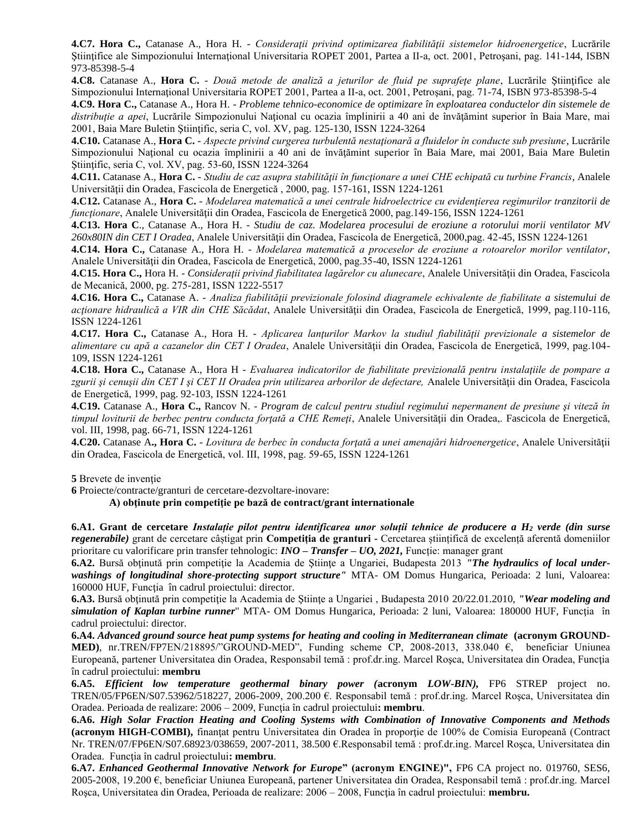**4.C7. Hora C.,** Catanase A., Hora H. - *Consideraţii privind optimizarea fiabilităţii sistemelor hidroenergetice*, Lucrările Ştiinţifice ale Simpozionului Internaţional Universitaria ROPET 2001, Partea a II-a, oct. 2001, Petroşani, pag. 141-144, ISBN 973-85398-5-4

**4.C8.** Catanase A., **Hora C.** - *Două metode de analiză a jeturilor de fluid pe suprafeţe plane*, Lucrările Ştiinţifice ale Simpozionului Internaţional Universitaria ROPET 2001, Partea a II-a, oct. 2001, Petroşani, pag. 71-74, ISBN 973-85398-5-4

**4.C9. Hora C.,** Catanase A., Hora H. *- Probleme tehnico-economice de optimizare în exploatarea conductelor din sistemele de distribuţie a apei*, Lucrările Simpozionului Naţional cu ocazia împlinirii a 40 ani de învăţămint superior în Baia Mare, mai 2001, Baia Mare Buletin Ştiinţific, seria C, vol. XV, pag. 125-130, ISSN 1224-3264

**4.C10.** Catanase A., **Hora C.** - *Aspecte privind curgerea turbulentă nestaţionară a fluidelor în conducte sub presiune*, Lucrările Simpozionului National cu ocazia împlinirii a 40 ani de învătămint superior în Baia Mare, mai 2001, Baia Mare Buletin Ştiinţific, seria C, vol. XV, pag. 53-60, ISSN 1224-3264

**4.C11.** Catanase A., **Hora C.** - *Studiu de caz asupra stabilităţii în funcţionare a unei CHE echipată cu turbine Francis*, Analele Universităţii din Oradea, Fascicola de Energetică , 2000, pag. 157-161, ISSN 1224-1261

**4.C12.** Catanase A., **Hora C.** - *Modelarea matematică a unei centrale hidroelectrice cu evidenţierea regimurilor tranzitorii de funcţionare*, Analele Universităţii din Oradea, Fascicola de Energetică 2000, pag.149-156, ISSN 1224-1261

**4.C13. Hora C**., Catanase A., Hora H. - *Studiu de caz. Modelarea procesului de eroziune a rotorului morii ventilator MV 260x80IN din CET I Oradea*, Analele Universităţii din Oradea, Fascicola de Energetică, 2000,pag. 42-45, ISSN 1224-1261

**4.C14. Hora C.,** Catanase A., Hora H. - *Modelarea matematică a proceselor de eroziune a rotoarelor morilor ventilator*, Analele Universităţii din Oradea, Fascicola de Energetică, 2000, pag.35-40, ISSN 1224-1261

**4.C15. Hora C.,** Hora H. - *Considerații privind fiabilitatea lagărelor cu alunecare*, Analele Universității din Oradea, Fascicola de Mecanică, 2000, pg. 275-281, ISSN 1222-5517

**4.C16. Hora C.,** Catanase A. - *Analiza fiabilităţii previzionale folosind diagramele echivalente de fiabilitate a sistemului de acţionare hidraulică a VIR din CHE Săcădat*, Analele Universităţii din Oradea, Fascicola de Energetică, 1999, pag.110-116, ISSN 1224-1261

**4.C17. Hora C.,** Catanase A., Hora H. - *Aplicarea lanţurilor Markov la studiul fiabilităţii previzionale a sistemelor de alimentare cu apă a cazanelor din CET I Oradea*, Analele Universităţii din Oradea, Fascicola de Energetică, 1999, pag.104- 109, ISSN 1224-1261

**4.C18. Hora C.,** Catanase A., Hora H - *Evaluarea indicatorilor de fiabilitate previzională pentru instalaţiile de pompare a*  zgurii și cenușii din CET I și CET II Oradea prin utilizarea arborilor de defectare, Analele Universității din Oradea, Fascicola de Energetică, 1999, pag. 92-103, ISSN 1224-1261

**4.C19.** Catanase A., **Hora C.,** Rancov N. - *Program de calcul pentru studiul regimului nepermanent de presiune şi viteză în timpul loviturii de berbec pentru conducta forţată a CHE Remeţi*, Analele Universităţii din Oradea,. Fascicola de Energetică, vol. III, 1998, pag. 66-71, ISSN 1224-1261

**4.C20.** Catanase A**., Hora C.** - *Lovitura de berbec în conducta forţată a unei amenajări hidroenergetice*, Analele Universităţii din Oradea, Fascicola de Energetică, vol. III, 1998, pag. 59-65, ISSN 1224-1261

**5** Brevete de invenţie

**6** Proiecte/contracte/granturi de cercetare-dezvoltare-inovare:

**A) obţinute prin competiţie pe bază de contract/grant internationale**

**6.A1. Grant de cercetare** *Instalație pilot pentru identificarea unor soluții tehnice de producere a H<sup>2</sup> verde (din surse regenerabile)* grant de cercetare câștigat prin **Competiția de granturi -** Cercetarea științifică de excelență aferentă domeniilor prioritare cu valorificare prin transfer tehnologic: *INO – Transfer – UO, 2021,* Funcție: manager grant

6.A2. Bursă obținută prin competiție la Academia de Științe a Ungariei, Budapesta 2013 *"The hydraulics of local underwashings of longitudinal shore-protecting support structure"* MTA- OM Domus Hungarica, Perioada: 2 luni, Valoarea: 160000 HUF, Functia în cadrul proiectului: director.

**6.A3.** Bursă obţinută prin competiţie la Academia de Ştiinţe a Ungariei , Budapesta 2010 20/22.01.2010, *"Wear modeling and simulation of Kaplan turbine runner*" MTA- OM Domus Hungarica, Perioada: 2 luni, Valoarea: 180000 HUF, Funcţia în cadrul proiectului: director.

**6.A4.** *Advanced ground source heat pump systems for heating and cooling in Mediterranean climate* **(acronym GROUND-MED)**, nr.TREN/FP7EN/218895/"GROUND-MED", Funding scheme CP, 2008-2013, 338.040 €, beneficiar Uniunea Europeană, partener Universitatea din Oradea, Responsabil temă : prof.dr.ing. Marcel Roşca, Universitatea din Oradea, Funcţia în cadrul proiectului: **membru**

**6.A5.** *Efficient low temperature geothermal binary power (***acronym** *LOW-BIN),* FP6 STREP project no. TREN/05/FP6EN/S07.53962/518227, 2006-2009, 200.200 €. Responsabil temă : prof.dr.ing. Marcel Roşca, Universitatea din Oradea. Perioada de realizare: 2006 – 2009, Funcţia în cadrul proiectului**: membru**.

**6.A6.** *High Solar Fraction Heating and Cooling Systems with Combination of Innovative Components and Methods* **(acronym HIGH-COMBI),** finanţat pentru Universitatea din Oradea în proporţie de 100% de Comisia Europeană (Contract Nr. TREN/07/FP6EN/S07.68923/038659, 2007-2011, 38.500 €.Responsabil temă : prof.dr.ing. Marcel Roşca, Universitatea din Oradea. Funcţia în cadrul proiectului**: membru**.

**6.A7.** *Enhanced Geothermal Innovative Network for Europe***" (acronym ENGINE)",** FP6 CA project no. 019760, SES6, 2005-2008, 19.200 €, beneficiar Uniunea Europeană, partener Universitatea din Oradea, Responsabil temă : prof.dr.ing. Marcel Roşca, Universitatea din Oradea, Perioada de realizare: 2006 – 2008, Funcţia în cadrul proiectului: **membru.**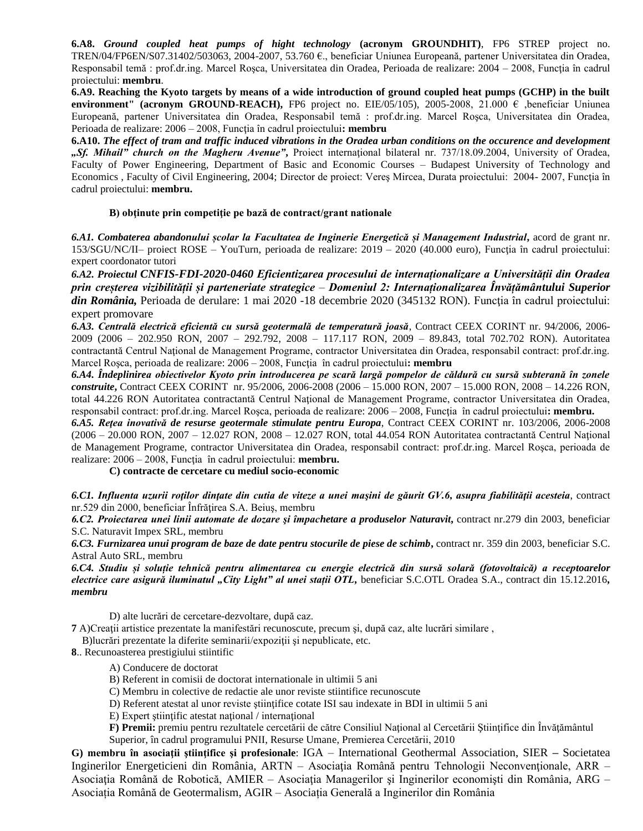**6.A8.** *Ground coupled heat pumps of hight technology* **(acronym GROUNDHIT)**, FP6 STREP project no. TREN/04/FP6EN/S07.31402/503063, 2004-2007, 53.760 €., beneficiar Uniunea Europeană, partener Universitatea din Oradea, Responsabil temă : prof.dr.ing. Marcel Roșca, Universitatea din Oradea, Perioada de realizare: 2004 – 2008, Funcția în cadrul proiectului: **membru**.

**6.A9. Reaching the Kyoto targets by means of a wide introduction of ground coupled heat pumps (GCHP) in the built environment" (acronym GROUND-REACH),** FP6 project no. EIE/05/105), 2005-2008, 21.000 € ,beneficiar Uniunea Europeană, partener Universitatea din Oradea, Responsabil temă : prof.dr.ing. Marcel Roşca, Universitatea din Oradea, Perioada de realizare: 2006 – 2008, Funcţia în cadrul proiectului**: membru**

**6.A10.** *The effect of tram and traffic induced vibrations in the Oradea urban conditions on the occurence and development "Sf. Mihail" church on the Magheru Avenue"***,** Proiect internaţional bilateral nr. 737/18.09.2004, University of Oradea, Faculty of Power Engineering, Department of Basic and Economic Courses – Budapest University of Technology and Economics , Faculty of Civil Engineering, 2004; Director de proiect: Vereş Mircea, Durata proiectului: 2004- 2007, Funcţia în cadrul proiectului: **membru.**

## **B) obţinute prin competiţie pe bază de contract/grant nationale**

*6.A1. Combaterea abandonului școlar la Facultatea de Inginerie Energetică și Management Industrial***,** acord de grant nr.  $153/SGU/NC/II$ – proiect ROSE – YouTurn, perioada de realizare:  $2019 - 2020$  (40.000 euro), Funcția în cadrul proiectului: expert coordonator tutori

*6.A2. Proiectul CNFIS-FDI-2020-0460 Eficientizarea procesului de internaționalizare a Universității din Oradea prin creșterea vizibilității și parteneriate strategice* – *Domeniul 2: Internaționalizarea Învățământului Superior din România,* Perioada de derulare: 1 mai 2020 -18 decembrie 2020 (345132 RON). Funcţia în cadrul proiectului: expert promovare

*6.A3. Centrală electrică eficientă cu sursă geotermală de temperatură joasă*, Contract CEEX CORINT nr. 94/2006, 2006- 2009 (2006 – 202.950 RON, 2007 – 292.792, 2008 – 117.117 RON, 2009 – 89.843, total 702.702 RON). Autoritatea contractantă Centrul Naţional de Management Programe, contractor Universitatea din Oradea, responsabil contract: prof.dr.ing. Marcel Rosca, perioada de realizare: 2006 – 2008, Functia în cadrul proiectului**: membru** 

*6.A4. Îndeplinirea obiectivelor Kyoto prin introducerea pe scară largă pompelor de căldură cu sursă subterană în zonele construite***,** Contract CEEX CORINT nr. 95/2006, 2006-2008 (2006 – 15.000 RON, 2007 – 15.000 RON, 2008 – 14.226 RON, total 44.226 RON Autoritatea contractantă Centrul Naţional de Management Programe, contractor Universitatea din Oradea, responsabil contract: prof.dr.ing. Marcel Roşca, perioada de realizare: 2006 – 2008, Funcţia în cadrul proiectului**: membru.**

*6.A5. Reţea inovativă de resurse geotermale stimulate pentru Europa*, Contract CEEX CORINT nr. 103/2006, 2006-2008 (2006 – 20.000 RON, 2007 – 12.027 RON, 2008 – 12.027 RON, total 44.054 RON Autoritatea contractantă Centrul Naţional de Management Programe, contractor Universitatea din Oradea, responsabil contract: prof.dr.ing. Marcel Roşca, perioada de realizare: 2006 – 2008, Funcţia în cadrul proiectului: **membru.**

**C) contracte de cercetare cu mediul socio-economic**

*6.C1. Influenta uzurii roţilor dinţate din cutia de viteze a unei maşini de găurit GV.6, asupra fiabilităţii acesteia*, contract nr.529 din 2000, beneficiar Înfrăţirea S.A. Beiuş, membru

*6.C2. Proiectarea unei linii automate de dozare şi împachetare a produselor Naturavit***,** contract nr.279 din 2003, beneficiar S.C. Naturavit Impex SRL, membru

*6.C3. Furnizarea unui program de baze de date pentru stocurile de piese de schimb***,** contract nr. 359 din 2003, beneficiar S.C. Astral Auto SRL, membru

*6.C4. Studiu și soluție tehnică pentru alimentarea cu energie electrică din sursă solară (fotovoltaică) a receptoarelor electrice care asigură iluminatul "City Light" al unei stații OTL,* beneficiar S.C.OTL Oradea S.A., contract din 15.12.2016*, membru*

D) alte lucrări de cercetare-dezvoltare, după caz.

**7** A)Creaţii artistice prezentate la manifestări recunoscute, precum şi, după caz, alte lucrări similare ,

B)lucrări prezentate la diferite seminarii/expoziţii şi nepublicate, etc.

- **8**.. Recunoasterea prestigiului stiintific
	- A) Conducere de doctorat
	- B) Referent in comisii de doctorat internationale in ultimii 5 ani
	- C) Membru in colective de redactie ale unor reviste stiintifice recunoscute
	- D) Referent atestat al unor reviste ştiinţifice cotate ISI sau indexate in BDI in ultimii 5 ani
	- E) Expert ştiinţific atestat naţional / internaţional

**F) Premii:** premiu pentru rezultatele cercetării de către Consiliul Naţional al Cercetării Ştiinţifice din Învăţământul Superior, în cadrul programului PNII, Resurse Umane, Premierea Cercetării, 2010

**G) membru în asociaţii ştiinţifice şi profesionale**: IGA – International Geothermal Association, SIER **–** Societatea Inginerilor Energeticieni din România, ARTN – Asociaţia Română pentru Tehnologii Neconvenţionale, ARR – Asociaţia Română de Robotică, AMIER – Asociaţia Managerilor şi Inginerilor economişti din România, ARG – Asociația Română de Geotermalism, AGIR – Asociația Generală a Inginerilor din România